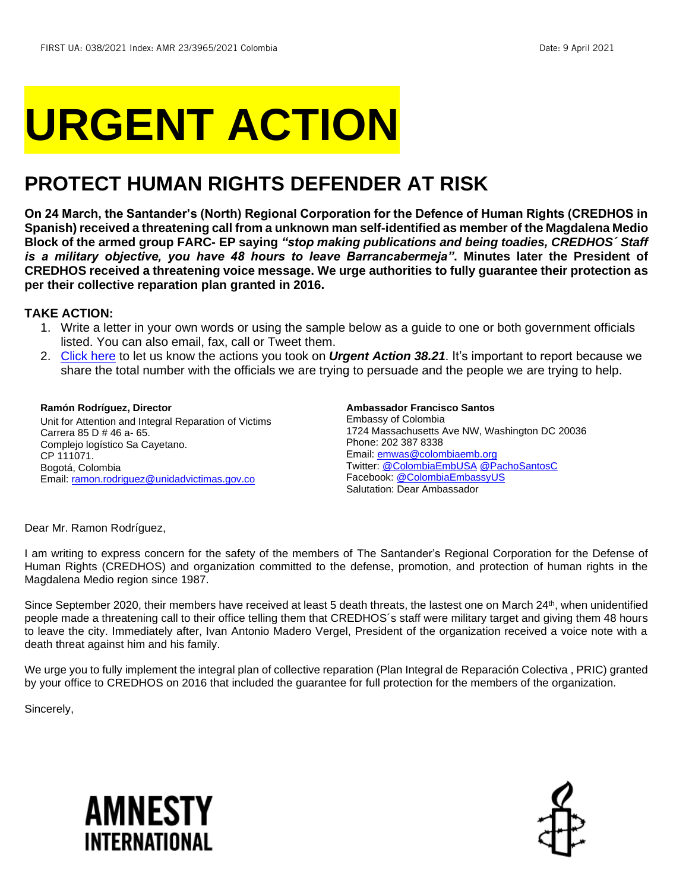# **URGENT ACTION**

## **PROTECT HUMAN RIGHTS DEFENDER AT RISK**

**On 24 March, the Santander's (North) Regional Corporation for the Defence of Human Rights (CREDHOS in Spanish) received a threatening call from a unknown man self-identified as member of the Magdalena Medio Block of the armed group FARC- EP saying** *"stop making publications and being toadies, CREDHOS´ Staff is a military objective, you have 48 hours to leave Barrancabermeja"***. Minutes later the President of CREDHOS received a threatening voice message. We urge authorities to fully guarantee their protection as per their collective reparation plan granted in 2016.**

#### **TAKE ACTION:**

- 1. Write a letter in your own words or using the sample below as a guide to one or both government officials listed. You can also email, fax, call or Tweet them.
- 2. [Click here](https://www.amnestyusa.org/report-urgent-actions/) to let us know the actions you took on *Urgent Action 38.21*. It's important to report because we share the total number with the officials we are trying to persuade and the people we are trying to help.

#### **Ramón Rodríguez, Director**

Unit for Attention and Integral Reparation of Victims Carrera 85 D # 46 a- 65. Complejo logístico Sa Cayetano. CP 111071. Bogotá, Colombia Email: [ramon.rodriguez@unidadvictimas.gov.co](mailto:ramon.rodriguez@unidadvictimas.gov.co)

#### **Ambassador Francisco Santos** Embassy of Colombia 1724 Massachusetts Ave NW, Washington DC 20036 Phone: 202 387 8338 Email: [emwas@colombiaemb.org](mailto:emwas@colombiaemb.org) Twitter: [@ColombiaEmbUSA](https://twitter.com/colombiaembusa) [@PachoSantosC](https://twitter.com/PachoSantosC) Facebook: [@ColombiaEmbassyUS](https://www.facebook.com/ColombiaEmbassyUS/) Salutation: Dear Ambassador

Dear Mr. Ramon Rodríguez,

I am writing to express concern for the safety of the members of The Santander's Regional Corporation for the Defense of Human Rights (CREDHOS) and organization committed to the defense, promotion, and protection of human rights in the Magdalena Medio region since 1987.

Since September 2020, their members have received at least 5 death threats, the lastest one on March 24<sup>th</sup>, when unidentified people made a threatening call to their office telling them that CREDHOS´s staff were military target and giving them 48 hours to leave the city. Immediately after, Ivan Antonio Madero Vergel, President of the organization received a voice note with a death threat against him and his family.

We urge you to fully implement the integral plan of collective reparation (Plan Integral de Reparación Colectiva , PRIC) granted by your office to CREDHOS on 2016 that included the guarantee for full protection for the members of the organization.

Sincerely,